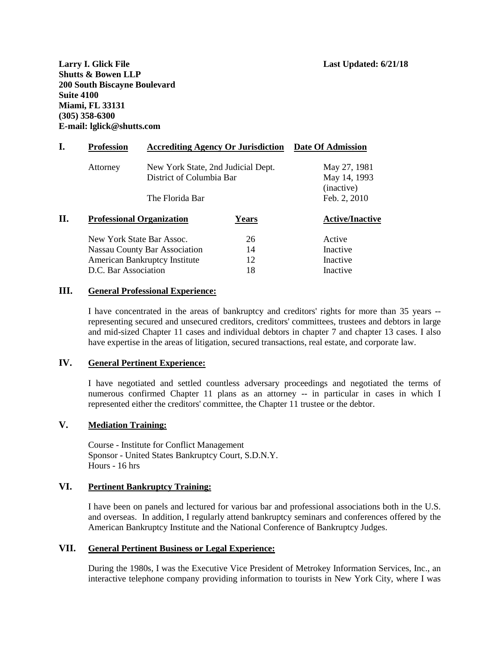**Larry I. Glick File Last Updated: 6/21/18 Shutts & Bowen LLP 200 South Biscayne Boulevard Suite 4100 Miami, FL 33131 (305) 358-6300 E-mail: lglick@shutts.com**

| I. | <b>Profession</b><br><b>Accrediting Agency Or Jurisdiction</b> |                                                                                   | <b>Date Of Admission</b> |                                                            |
|----|----------------------------------------------------------------|-----------------------------------------------------------------------------------|--------------------------|------------------------------------------------------------|
|    | Attorney                                                       | New York State, 2nd Judicial Dept.<br>District of Columbia Bar<br>The Florida Bar |                          | May 27, 1981<br>May 14, 1993<br>(inactive)<br>Feb. 2, 2010 |
|    |                                                                |                                                                                   |                          |                                                            |
| П. | <b>Professional Organization</b><br><b>Years</b>               |                                                                                   |                          | <b>Active/Inactive</b>                                     |
|    | New York State Bar Assoc.                                      |                                                                                   | 26                       | Active                                                     |
|    |                                                                | Nassau County Bar Association                                                     | 14                       | Inactive                                                   |
|    | <b>American Bankruptcy Institute</b>                           |                                                                                   | 12                       | Inactive                                                   |
|    | D.C. Bar Association                                           |                                                                                   | 18                       | Inactive                                                   |
|    |                                                                |                                                                                   |                          |                                                            |

#### **III. General Professional Experience:**

I have concentrated in the areas of bankruptcy and creditors' rights for more than 35 years - representing secured and unsecured creditors, creditors' committees, trustees and debtors in large and mid-sized Chapter 11 cases and individual debtors in chapter 7 and chapter 13 cases. I also have expertise in the areas of litigation, secured transactions, real estate, and corporate law.

## **IV. General Pertinent Experience:**

I have negotiated and settled countless adversary proceedings and negotiated the terms of numerous confirmed Chapter 11 plans as an attorney -- in particular in cases in which I represented either the creditors' committee, the Chapter 11 trustee or the debtor.

# **V. Mediation Training:**

Course - Institute for Conflict Management Sponsor - United States Bankruptcy Court, S.D.N.Y. Hours - 16 hrs

### **VI. Pertinent Bankruptcy Training:**

I have been on panels and lectured for various bar and professional associations both in the U.S. and overseas. In addition, I regularly attend bankruptcy seminars and conferences offered by the American Bankruptcy Institute and the National Conference of Bankruptcy Judges.

## **VII. General Pertinent Business or Legal Experience:**

During the 1980s, I was the Executive Vice President of Metrokey Information Services, Inc., an interactive telephone company providing information to tourists in New York City, where I was